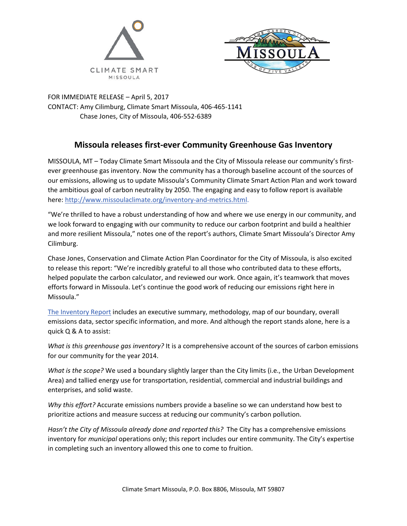



FOR IMMEDIATE RELEASE – April 5, 2017 CONTACT: Amy Cilimburg, Climate Smart Missoula, 406-465-1141 Chase Jones, City of Missoula, 406-552-6389

## **Missoula releases first-ever Community Greenhouse Gas Inventory**

MISSOULA, MT – Today Climate Smart Missoula and the City of Missoula release our community's firstever greenhouse gas inventory. Now the community has a thorough baseline account of the sources of our emissions, allowing us to update Missoula's Community Climate Smart Action Plan and work toward the ambitious goal of carbon neutrality by 2050. The engaging and easy to follow report is available here: [http://www.missoulaclimate.org/inventory-and-metrics.html.](http://www.missoulaclimate.org/inventory-and-metrics.html)

"We're thrilled to have a robust understanding of how and where we use energy in our community, and we look forward to engaging with our community to reduce our carbon footprint and build a healthier and more resilient Missoula," notes one of the report's authors, Climate Smart Missoula's Director Amy Cilimburg.

Chase Jones, Conservation and Climate Action Plan Coordinator for the City of Missoula, is also excited to release this report: "We're incredibly grateful to all those who contributed data to these efforts, helped populate the carbon calculator, and reviewed our work. Once again, it's teamwork that moves efforts forward in Missoula. Let's continue the good work of reducing our emissions right here in Missoula."

[The Inventory Report](http://www.missoulaclimate.org/uploads/4/3/2/6/43267085/3.2017_missoulaemissionsinventory.pdf) includes an executive summary, methodology, map of our boundary, overall emissions data, sector specific information, and more. And although the report stands alone, here is a quick Q & A to assist:

*What is this greenhouse gas inventory?* It is a comprehensive account of the sources of carbon emissions for our community for the year 2014.

*What is the scope?* We used a boundary slightly larger than the City limits (i.e., the Urban Development Area) and tallied energy use for transportation, residential, commercial and industrial buildings and enterprises, and solid waste.

*Why this effort?* Accurate emissions numbers provide a baseline so we can understand how best to prioritize actions and measure success at reducing our community's carbon pollution.

*Hasn't the City of Missoula already done and reported this?* The City has a comprehensive emissions inventory for *municipal* operations only; this report includes our entire community. The City's expertise in completing such an inventory allowed this one to come to fruition.